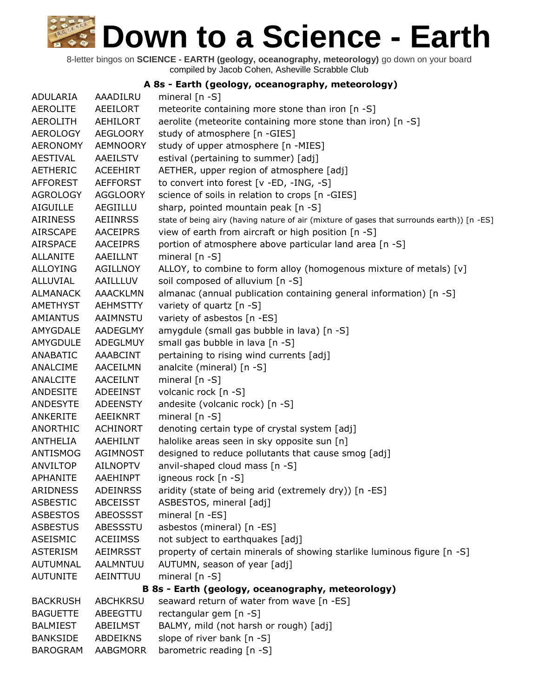8-letter bingos on **SCIENCE - EARTH (geology, oceanography, meteorology)** go down on your board compiled by Jacob Cohen, Asheville Scrabble Club

#### **A 8s - Earth (geology, oceanography, meteorology)**

ADULARIA AAADILRU mineral [n -S] AEROLITE AEEILORT meteorite containing more stone than iron [n -S] AEROLITH AEHILORT aerolite (meteorite containing more stone than iron) [n -S] AEROLOGY AEGLOORY study of atmosphere [n -GIES] AERONOMY AEMNOORY study of upper atmosphere [n -MIES] AESTIVAL AAEILSTV estival (pertaining to summer) [adj] AETHERIC ACEEHIRT AETHER, upper region of atmosphere [adj] AFFOREST AEFFORST to convert into forest [v -ED, -ING, -S] AGROLOGY AGGLOORY science of soils in relation to crops [n -GIES] AIGUILLE AEGIILLU sharp, pointed mountain peak [n -S] AIRINESS AEIINRSS state of being airy (having nature of air (mixture of gases that surrounds earth)) [n -ES] AIRSCAPE AACEIPRS view of earth from aircraft or high position [n -S] AIRSPACE AACEIPRS portion of atmosphere above particular land area [n -S] ALLANITE AAEILLNT mineral [n -S] ALLOYING AGILLNOY ALLOY, to combine to form alloy (homogenous mixture of metals) [v] ALLUVIAL AAILLLUV soil composed of alluvium [n -S] ALMANACK AAACKLMN almanac (annual publication containing general information) [n -S] AMETHYST AEHMSTTY variety of quartz [n -S] AMIANTUS AAIMNSTU variety of asbestos [n -ES] AMYGDALE AADEGLMY amygdule (small gas bubble in lava) [n -S] AMYGDULE ADEGLMUY small gas bubble in lava [n -S] ANABATIC AAABCINT pertaining to rising wind currents [adj] ANALCIME AACEILMN analcite (mineral) [n -S] ANALCITE AACEILNT mineral [n -S] ANDESITE ADEEINST volcanic rock [n -S] ANDESYTE ADEENSTY andesite (volcanic rock) [n -S] ANKERITE AEEIKNRT mineral [n -S] ANORTHIC ACHINORT denoting certain type of crystal system [adj] ANTHELIA AAEHILNT halolike areas seen in sky opposite sun [n] ANTISMOG AGIMNOST designed to reduce pollutants that cause smog [adj] ANVILTOP AILNOPTV anvil-shaped cloud mass [n -S] APHANITE AAEHINPT igneous rock [n -S] ARIDNESS ADEINRSS aridity (state of being arid (extremely dry)) [n -ES] ASBESTIC ABCEISST ASBESTOS, mineral [adj] ASBESTOS ABEOSSST mineral [n -ES] ASBESTUS ABESSSTU asbestos (mineral) [n -ES] ASEISMIC ACEIIMSS not subject to earthquakes [adj] ASTERISM AEIMRSST property of certain minerals of showing starlike luminous figure [n -S] AUTUMNAL AALMNTUU AUTUMN, season of year [adj] AUTUNITE AEINTTUU mineral [n -S] **B 8s - Earth (geology, oceanography, meteorology)** BACKRUSH ABCHKRSU seaward return of water from wave [n -ES] BAGUETTE ABEEGTTU rectangular gem [n -S] BALMIEST ABEILMST BALMY, mild (not harsh or rough) [adj] BANKSIDE ABDEIKNS slope of river bank [n -S] BAROGRAM AABGMORR barometric reading [n -S]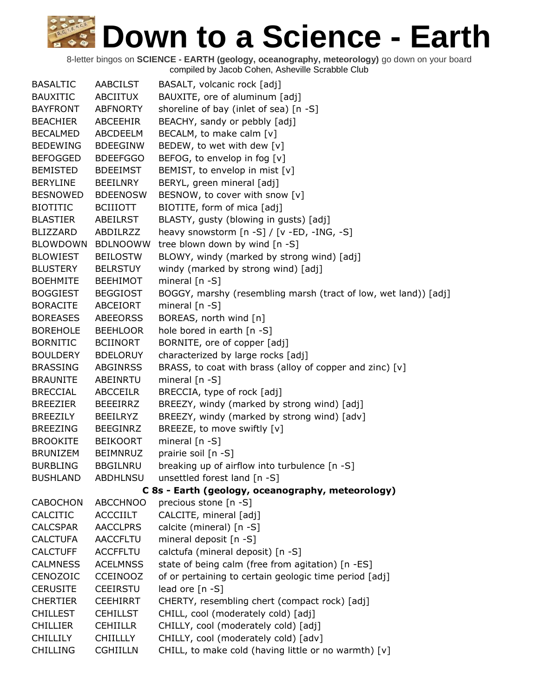| <b>BASALTIC</b> | <b>AABCILST</b> | BASALT, volcanic rock [adj]                                     |
|-----------------|-----------------|-----------------------------------------------------------------|
| <b>BAUXITIC</b> | ABCIITUX        | BAUXITE, ore of aluminum [adj]                                  |
| <b>BAYFRONT</b> | ABFNORTY        | shoreline of bay (inlet of sea) [n -S]                          |
| <b>BEACHIER</b> | ABCEEHIR        | BEACHY, sandy or pebbly [adj]                                   |
| <b>BECALMED</b> | ABCDEELM        | BECALM, to make calm [v]                                        |
| <b>BEDEWING</b> | <b>BDEEGINW</b> | BEDEW, to wet with dew [v]                                      |
| <b>BEFOGGED</b> | <b>BDEEFGGO</b> | BEFOG, to envelop in fog [v]                                    |
| <b>BEMISTED</b> | <b>BDEEIMST</b> | BEMIST, to envelop in mist [v]                                  |
| <b>BERYLINE</b> | <b>BEEILNRY</b> | BERYL, green mineral [adj]                                      |
| <b>BESNOWED</b> | <b>BDEENOSW</b> | BESNOW, to cover with snow [v]                                  |
| <b>BIOTITIC</b> | <b>BCIIIOTT</b> | BIOTITE, form of mica [adj]                                     |
| <b>BLASTIER</b> | <b>ABEILRST</b> | BLASTY, gusty (blowing in gusts) [adj]                          |
| <b>BLIZZARD</b> | ABDILRZZ        | heavy snowstorm [n -S] / [v -ED, -ING, -S]                      |
| <b>BLOWDOWN</b> | <b>BDLNOOWW</b> | tree blown down by wind [n -S]                                  |
| <b>BLOWIEST</b> | <b>BEILOSTW</b> | BLOWY, windy (marked by strong wind) [adj]                      |
| <b>BLUSTERY</b> | <b>BELRSTUY</b> | windy (marked by strong wind) [adj]                             |
| <b>BOEHMITE</b> | <b>BEEHIMOT</b> | mineral $[n - S]$                                               |
| <b>BOGGIEST</b> | <b>BEGGIOST</b> | BOGGY, marshy (resembling marsh (tract of low, wet land)) [adj] |
| <b>BORACITE</b> | ABCEIORT        | mineral [n -S]                                                  |
| <b>BOREASES</b> | <b>ABEEORSS</b> | BOREAS, north wind [n]                                          |
| <b>BOREHOLE</b> | <b>BEEHLOOR</b> | hole bored in earth [n -S]                                      |
| <b>BORNITIC</b> | <b>BCIINORT</b> | BORNITE, ore of copper [adj]                                    |
| <b>BOULDERY</b> | <b>BDELORUY</b> | characterized by large rocks [adj]                              |
| <b>BRASSING</b> | <b>ABGINRSS</b> | BRASS, to coat with brass (alloy of copper and zinc) [v]        |
| <b>BRAUNITE</b> | ABEINRTU        | mineral $[n - S]$                                               |
| <b>BRECCIAL</b> | <b>ABCCEILR</b> | BRECCIA, type of rock [adj]                                     |
| <b>BREEZIER</b> | <b>BEEEIRRZ</b> | BREEZY, windy (marked by strong wind) [adj]                     |
| <b>BREEZILY</b> | <b>BEEILRYZ</b> | BREEZY, windy (marked by strong wind) [adv]                     |
| <b>BREEZING</b> | <b>BEEGINRZ</b> | BREEZE, to move swiftly [v]                                     |
| <b>BROOKITE</b> | <b>BEIKOORT</b> | mineral $[n - S]$                                               |
| <b>BRUNIZEM</b> | <b>BEIMNRUZ</b> | prairie soil [n -S]                                             |
| <b>BURBLING</b> | <b>BBGILNRU</b> | breaking up of airflow into turbulence [n -S]                   |
| <b>BUSHLAND</b> | <b>ABDHLNSU</b> | unsettled forest land [n -S]                                    |
|                 |                 | C 8s - Earth (geology, oceanography, meteorology)               |
| <b>CABOCHON</b> | <b>ABCCHNOO</b> | precious stone [n -S]                                           |
| CALCITIC        | <b>ACCCIILT</b> | CALCITE, mineral [adj]                                          |
| <b>CALCSPAR</b> | <b>AACCLPRS</b> | calcite (mineral) [n -S]                                        |
| <b>CALCTUFA</b> | <b>AACCFLTU</b> | mineral deposit [n -S]                                          |
| <b>CALCTUFF</b> | <b>ACCFFLTU</b> | calctufa (mineral deposit) [n -S]                               |
| <b>CALMNESS</b> | <b>ACELMNSS</b> | state of being calm (free from agitation) [n -ES]               |
| CENOZOIC        | <b>CCEINOOZ</b> | of or pertaining to certain geologic time period [adj]          |
| <b>CERUSITE</b> | <b>CEEIRSTU</b> | lead ore [n -S]                                                 |
| <b>CHERTIER</b> | <b>CEEHIRRT</b> | CHERTY, resembling chert (compact rock) [adj]                   |
| <b>CHILLEST</b> | <b>CEHILLST</b> | CHILL, cool (moderately cold) [adj]                             |
| <b>CHILLIER</b> | <b>CEHIILLR</b> | CHILLY, cool (moderately cold) [adj]                            |
| <b>CHILLILY</b> | <b>CHIILLLY</b> | CHILLY, cool (moderately cold) [adv]                            |
| <b>CHILLING</b> | <b>CGHIILLN</b> | CHILL, to make cold (having little or no warmth) [v]            |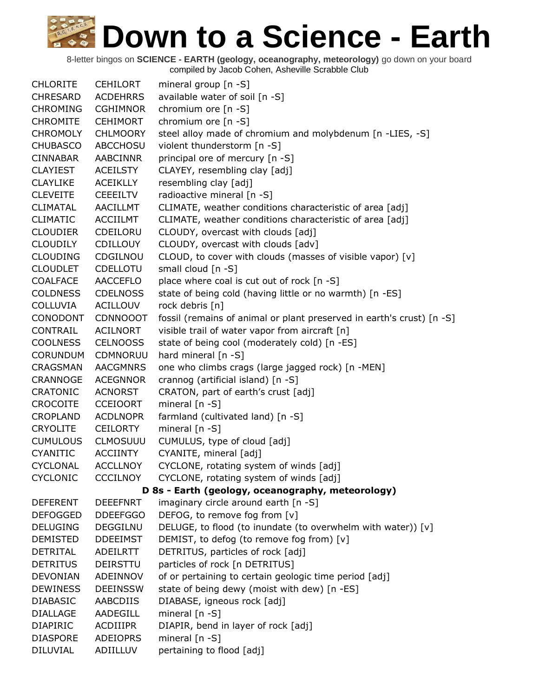| <b>CHLORITE</b> | CEHILORT        | mineral group [n -S]                                                  |
|-----------------|-----------------|-----------------------------------------------------------------------|
| <b>CHRESARD</b> | <b>ACDEHRRS</b> | available water of soil [n -S]                                        |
| <b>CHROMING</b> | <b>CGHIMNOR</b> | chromium ore [n -S]                                                   |
| <b>CHROMITE</b> | <b>CEHIMORT</b> | chromium ore [n -S]                                                   |
| <b>CHROMOLY</b> | <b>CHLMOORY</b> | steel alloy made of chromium and molybdenum [n -LIES, -S]             |
| <b>CHUBASCO</b> | ABCCHOSU        | violent thunderstorm [n -S]                                           |
| <b>CINNABAR</b> | AABCINNR        | principal ore of mercury [n -S]                                       |
| <b>CLAYIEST</b> | <b>ACEILSTY</b> | CLAYEY, resembling clay [adj]                                         |
| <b>CLAYLIKE</b> | <b>ACEIKLLY</b> | resembling clay [adj]                                                 |
| <b>CLEVEITE</b> | <b>CEEEILTV</b> | radioactive mineral [n -S]                                            |
| <b>CLIMATAL</b> | AACILLMT        | CLIMATE, weather conditions characteristic of area [adj]              |
| <b>CLIMATIC</b> | <b>ACCIILMT</b> | CLIMATE, weather conditions characteristic of area [adj]              |
| <b>CLOUDIER</b> | CDEILORU        | CLOUDY, overcast with clouds [adj]                                    |
| <b>CLOUDILY</b> | <b>CDILLOUY</b> | CLOUDY, overcast with clouds [adv]                                    |
| <b>CLOUDING</b> | CDGILNOU        | CLOUD, to cover with clouds (masses of visible vapor) [v]             |
| <b>CLOUDLET</b> | CDELLOTU        | small cloud [n -S]                                                    |
| <b>COALFACE</b> | <b>AACCEFLO</b> | place where coal is cut out of rock [n -S]                            |
| <b>COLDNESS</b> | <b>CDELNOSS</b> | state of being cold (having little or no warmth) [n -ES]              |
| <b>COLLUVIA</b> | ACILLOUV        | rock debris [n]                                                       |
| CONODONT        | <b>CDNNOOOT</b> | fossil (remains of animal or plant preserved in earth's crust) [n -S] |
| CONTRAIL        | <b>ACILNORT</b> | visible trail of water vapor from aircraft [n]                        |
| <b>COOLNESS</b> | <b>CELNOOSS</b> | state of being cool (moderately cold) [n -ES]                         |
| <b>CORUNDUM</b> | CDMNORUU        | hard mineral [n -S]                                                   |
| CRAGSMAN        | <b>AACGMNRS</b> | one who climbs crags (large jagged rock) [n -MEN]                     |
| CRANNOGE        | <b>ACEGNNOR</b> | crannog (artificial island) [n -S]                                    |
| <b>CRATONIC</b> | <b>ACNORST</b>  | CRATON, part of earth's crust [adj]                                   |
| <b>CROCOITE</b> | <b>CCEIOORT</b> | mineral $[n - S]$                                                     |
| <b>CROPLAND</b> | <b>ACDLNOPR</b> | farmland (cultivated land) [n -S]                                     |
| <b>CRYOLITE</b> | CEILORTY        | mineral [n -S]                                                        |
| <b>CUMULOUS</b> | <b>CLMOSUUU</b> | CUMULUS, type of cloud [adj]                                          |
| <b>CYANITIC</b> | <b>ACCIINTY</b> | CYANITE, mineral [adj]                                                |
| <b>CYCLONAL</b> | <b>ACCLLNOY</b> | CYCLONE, rotating system of winds [adj]                               |
| <b>CYCLONIC</b> | <b>CCCILNOY</b> | CYCLONE, rotating system of winds [adj]                               |
|                 |                 | D 8s - Earth (geology, oceanography, meteorology)                     |
| <b>DEFERENT</b> | <b>DEEEFNRT</b> | imaginary circle around earth [n -S]                                  |
| <b>DEFOGGED</b> | <b>DDEEFGGO</b> | DEFOG, to remove fog from [v]                                         |
| <b>DELUGING</b> | <b>DEGGILNU</b> | DELUGE, to flood (to inundate (to overwhelm with water)) [v]          |
| <b>DEMISTED</b> | <b>DDEEIMST</b> | DEMIST, to defog (to remove fog from) [v]                             |
| <b>DETRITAL</b> | ADEILRTT        | DETRITUS, particles of rock [adj]                                     |
| <b>DETRITUS</b> | <b>DEIRSTTU</b> | particles of rock [n DETRITUS]                                        |
| <b>DEVONIAN</b> | ADEINNOV        | of or pertaining to certain geologic time period [adj]                |
| <b>DEWINESS</b> | <b>DEEINSSW</b> | state of being dewy (moist with dew) [n -ES]                          |
| <b>DIABASIC</b> | AABCDIIS        | DIABASE, igneous rock [adj]                                           |
| <b>DIALLAGE</b> | AADEGILL        | mineral [n -S]                                                        |
| <b>DIAPIRIC</b> | <b>ACDIIIPR</b> | DIAPIR, bend in layer of rock [adj]                                   |
| <b>DIASPORE</b> | ADEIOPRS        | mineral $[n - S]$                                                     |
| <b>DILUVIAL</b> | ADIILLUV        | pertaining to flood [adj]                                             |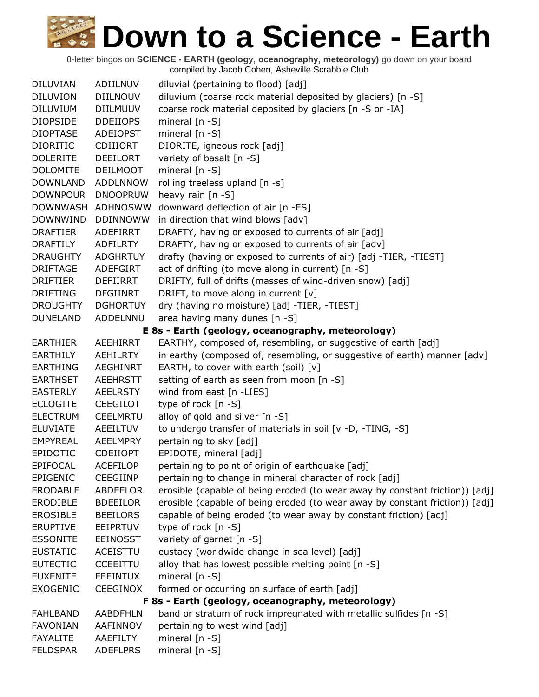| <b>DILUVIAN</b> | ADIILNUV        | diluvial (pertaining to flood) [adj]                                         |
|-----------------|-----------------|------------------------------------------------------------------------------|
| <b>DILUVION</b> | <b>DIILNOUV</b> | diluvium (coarse rock material deposited by glaciers) [n -S]                 |
| <b>DILUVIUM</b> | DIILMUUV        | coarse rock material deposited by glaciers [n -S or -IA]                     |
| <b>DIOPSIDE</b> | <b>DDEIIOPS</b> | mineral $[n - S]$                                                            |
| <b>DIOPTASE</b> | <b>ADEIOPST</b> | mineral $[n - S]$                                                            |
| <b>DIORITIC</b> | <b>CDIIIORT</b> | DIORITE, igneous rock [adj]                                                  |
| <b>DOLERITE</b> | DEEILORT        | variety of basalt [n -S]                                                     |
| <b>DOLOMITE</b> | <b>DEILMOOT</b> | mineral [n -S]                                                               |
| <b>DOWNLAND</b> | <b>ADDLNNOW</b> | rolling treeless upland [n -s]                                               |
| <b>DOWNPOUR</b> | <b>DNOOPRUW</b> | heavy rain [n -S]                                                            |
| DOWNWASH        | ADHNOSWW        | downward deflection of air [n -ES]                                           |
| <b>DOWNWIND</b> | <b>DDINNOWW</b> | in direction that wind blows [adv]                                           |
| <b>DRAFTIER</b> | ADEFIRRT        | DRAFTY, having or exposed to currents of air [adj]                           |
| <b>DRAFTILY</b> | <b>ADFILRTY</b> | DRAFTY, having or exposed to currents of air [adv]                           |
| <b>DRAUGHTY</b> | <b>ADGHRTUY</b> | drafty (having or exposed to currents of air) [adj -TIER, -TIEST]            |
| <b>DRIFTAGE</b> | <b>ADEFGIRT</b> | act of drifting (to move along in current) [n -S]                            |
| <b>DRIFTIER</b> | <b>DEFIIRRT</b> | DRIFTY, full of drifts (masses of wind-driven snow) [adj]                    |
| <b>DRIFTING</b> | <b>DFGIINRT</b> | DRIFT, to move along in current [v]                                          |
| <b>DROUGHTY</b> | <b>DGHORTUY</b> | dry (having no moisture) [adj -TIER, -TIEST]                                 |
| <b>DUNELAND</b> | <b>ADDELNNU</b> | area having many dunes [n -S]                                                |
|                 |                 | E 8s - Earth (geology, oceanography, meteorology)                            |
| <b>EARTHIER</b> | AEEHIRRT        | EARTHY, composed of, resembling, or suggestive of earth [adj]                |
| <b>EARTHILY</b> | <b>AEHILRTY</b> | in earthy (composed of, resembling, or suggestive of earth) manner [adv]     |
| <b>EARTHING</b> | AEGHINRT        | EARTH, to cover with earth (soil) [v]                                        |
| <b>EARTHSET</b> | AEEHRSTT        | setting of earth as seen from moon [n -S]                                    |
| <b>EASTERLY</b> | <b>AEELRSTY</b> | wind from east $[n - LIES]$                                                  |
| <b>ECLOGITE</b> | <b>CEEGILOT</b> | type of rock $[n - S]$                                                       |
| <b>ELECTRUM</b> | <b>CEELMRTU</b> | alloy of gold and silver [n -S]                                              |
| <b>ELUVIATE</b> | AEEILTUV        | to undergo transfer of materials in soil [v -D, -TING, -S]                   |
| <b>EMPYREAL</b> | <b>AEELMPRY</b> | pertaining to sky [adj]                                                      |
| <b>EPIDOTIC</b> | <b>CDEIIOPT</b> | EPIDOTE, mineral [adj]                                                       |
| EPIFOCAL        | <b>ACEFILOP</b> | pertaining to point of origin of earthquake [adj]                            |
| <b>EPIGENIC</b> | <b>CEEGIINP</b> | pertaining to change in mineral character of rock [adj]                      |
| <b>ERODABLE</b> | ABDEELOR        | erosible (capable of being eroded (to wear away by constant friction)) [adj] |
| <b>ERODIBLE</b> | <b>BDEEILOR</b> | erosible (capable of being eroded (to wear away by constant friction)) [adj] |
| <b>EROSIBLE</b> | <b>BEEILORS</b> | capable of being eroded (to wear away by constant friction) [adj]            |
| <b>ERUPTIVE</b> | EEIPRTUV        | type of rock [n -S]                                                          |
| <b>ESSONITE</b> | <b>EEINOSST</b> | variety of garnet [n -S]                                                     |
| <b>EUSTATIC</b> | <b>ACEISTTU</b> | eustacy (worldwide change in sea level) [adj]                                |
| <b>EUTECTIC</b> | <b>CCEEITTU</b> | alloy that has lowest possible melting point [n -S]                          |
| <b>EUXENITE</b> | <b>EEEINTUX</b> | mineral $[n - S]$                                                            |
| <b>EXOGENIC</b> | <b>CEEGINOX</b> | formed or occurring on surface of earth [adj]                                |
|                 |                 | F 8s - Earth (geology, oceanography, meteorology)                            |
| <b>FAHLBAND</b> | <b>AABDFHLN</b> | band or stratum of rock impregnated with metallic sulfides [n -S]            |
| <b>FAVONIAN</b> | AAFINNOV        | pertaining to west wind [adj]                                                |
| <b>FAYALITE</b> | AAEFILTY        | mineral $[n - S]$                                                            |
| <b>FELDSPAR</b> | <b>ADEFLPRS</b> | mineral [n -S]                                                               |
|                 |                 |                                                                              |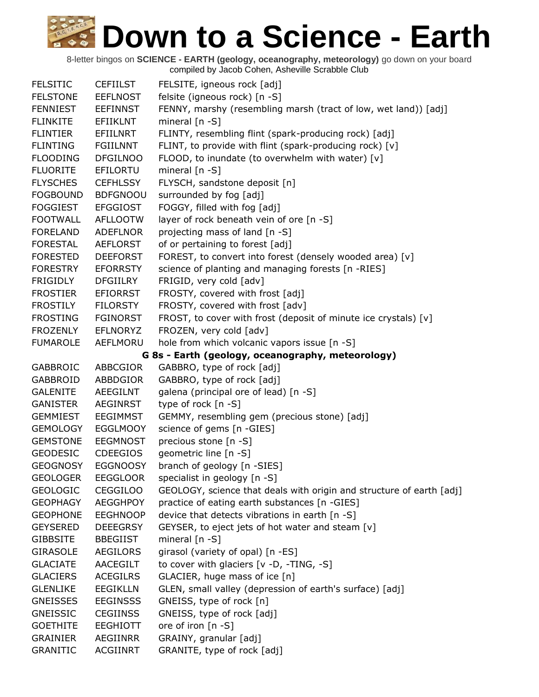| <b>FELSITIC</b> | <b>CEFIILST</b> | FELSITE, igneous rock [adj]                                          |
|-----------------|-----------------|----------------------------------------------------------------------|
| <b>FELSTONE</b> | <b>EEFLNOST</b> | felsite (igneous rock) [n -S]                                        |
| <b>FENNIEST</b> | <b>EEFINNST</b> | FENNY, marshy (resembling marsh (tract of low, wet land)) [adj]      |
| <b>FLINKITE</b> | EFIIKLNT        | mineral $[n - S]$                                                    |
| <b>FLINTIER</b> | EFIILNRT        | FLINTY, resembling flint (spark-producing rock) [adj]                |
| <b>FLINTING</b> | <b>FGIILNNT</b> | FLINT, to provide with flint (spark-producing rock) [v]              |
| <b>FLOODING</b> | <b>DFGILNOO</b> | FLOOD, to inundate (to overwhelm with water) [v]                     |
| <b>FLUORITE</b> | EFILORTU        | mineral [n -S]                                                       |
| <b>FLYSCHES</b> | <b>CEFHLSSY</b> | FLYSCH, sandstone deposit [n]                                        |
| <b>FOGBOUND</b> | <b>BDFGNOOU</b> | surrounded by fog [adj]                                              |
| <b>FOGGIEST</b> | <b>EFGGIOST</b> | FOGGY, filled with fog [adj]                                         |
| <b>FOOTWALL</b> | <b>AFLLOOTW</b> | layer of rock beneath vein of ore [n -S]                             |
| <b>FORELAND</b> | <b>ADEFLNOR</b> | projecting mass of land [n -S]                                       |
| FORESTAL        | AEFLORST        | of or pertaining to forest [adj]                                     |
| <b>FORESTED</b> | <b>DEEFORST</b> | FOREST, to convert into forest (densely wooded area) [v]             |
| <b>FORESTRY</b> | <b>EFORRSTY</b> | science of planting and managing forests [n -RIES]                   |
| <b>FRIGIDLY</b> | <b>DFGIILRY</b> | FRIGID, very cold [adv]                                              |
| <b>FROSTIER</b> | <b>EFIORRST</b> | FROSTY, covered with frost [adj]                                     |
| <b>FROSTILY</b> | <b>FILORSTY</b> | FROSTY, covered with frost [adv]                                     |
| <b>FROSTING</b> | <b>FGINORST</b> | FROST, to cover with frost (deposit of minute ice crystals) [v]      |
| <b>FROZENLY</b> | <b>EFLNORYZ</b> | FROZEN, very cold [adv]                                              |
| <b>FUMAROLE</b> | AEFLMORU        | hole from which volcanic vapors issue [n -S]                         |
|                 |                 | G 8s - Earth (geology, oceanography, meteorology)                    |
| <b>GABBROIC</b> | ABBCGIOR        | GABBRO, type of rock [adj]                                           |
| GABBROID        | ABBDGIOR        | GABBRO, type of rock [adj]                                           |
| <b>GALENITE</b> | AEEGILNT        | galena (principal ore of lead) [n -S]                                |
| <b>GANISTER</b> | <b>AEGINRST</b> | type of rock [n -S]                                                  |
| <b>GEMMIEST</b> | EEGIMMST        | GEMMY, resembling gem (precious stone) [adj]                         |
| <b>GEMOLOGY</b> | <b>EGGLMOOY</b> | science of gems [n -GIES]                                            |
| <b>GEMSTONE</b> | <b>EEGMNOST</b> | precious stone [n -S]                                                |
| <b>GEODESIC</b> | <b>CDEEGIOS</b> | geometric line [n -S]                                                |
| <b>GEOGNOSY</b> | <b>EGGNOOSY</b> | branch of geology [n -SIES]                                          |
| <b>GEOLOGER</b> | <b>EEGGLOOR</b> | specialist in geology [n -S]                                         |
| <b>GEOLOGIC</b> | <b>CEGGILOO</b> | GEOLOGY, science that deals with origin and structure of earth [adj] |
| <b>GEOPHAGY</b> | <b>AEGGHPOY</b> | practice of eating earth substances [n -GIES]                        |
| <b>GEOPHONE</b> | <b>EEGHNOOP</b> | device that detects vibrations in earth [n -S]                       |
| <b>GEYSERED</b> | <b>DEEEGRSY</b> | GEYSER, to eject jets of hot water and steam [v]                     |
| <b>GIBBSITE</b> | <b>BBEGIIST</b> | mineral $[n - S]$                                                    |
| <b>GIRASOLE</b> | <b>AEGILORS</b> | girasol (variety of opal) [n -ES]                                    |
| <b>GLACIATE</b> | AACEGILT        | to cover with glaciers [v -D, -TING, -S]                             |
| <b>GLACIERS</b> | <b>ACEGILRS</b> | GLACIER, huge mass of ice [n]                                        |
| <b>GLENLIKE</b> | <b>EEGIKLLN</b> | GLEN, small valley (depression of earth's surface) [adj]             |
| <b>GNEISSES</b> | <b>EEGINSSS</b> | GNEISS, type of rock [n]                                             |
| <b>GNEISSIC</b> | <b>CEGIINSS</b> | GNEISS, type of rock [adj]                                           |
| <b>GOETHITE</b> | <b>EEGHIOTT</b> | ore of iron [n -S]                                                   |
| <b>GRAINIER</b> | AEGIINRR        | GRAINY, granular [adj]                                               |
| <b>GRANITIC</b> | <b>ACGIINRT</b> | GRANITE, type of rock [adj]                                          |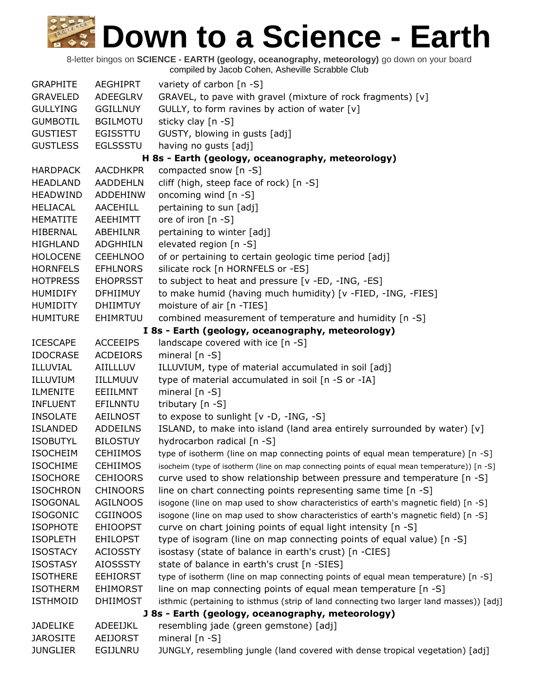| <b>GRAPHITE</b> | <b>AEGHIPRT</b> | variety of carbon [n -S]                                                                     |
|-----------------|-----------------|----------------------------------------------------------------------------------------------|
| <b>GRAVELED</b> | ADEEGLRV        | GRAVEL, to pave with gravel (mixture of rock fragments) [v]                                  |
| <b>GULLYING</b> | <b>GGILLNUY</b> | GULLY, to form ravines by action of water [v]                                                |
| <b>GUMBOTIL</b> | <b>BGILMOTU</b> | sticky clay [n -S]                                                                           |
| <b>GUSTIEST</b> | <b>EGISSTTU</b> | GUSTY, blowing in gusts [adj]                                                                |
| <b>GUSTLESS</b> | <b>EGLSSSTU</b> | having no gusts [adj]                                                                        |
|                 |                 | H 8s - Earth (geology, oceanography, meteorology)                                            |
| <b>HARDPACK</b> | <b>AACDHKPR</b> | compacted snow [n -S]                                                                        |
| <b>HEADLAND</b> | <b>AADDEHLN</b> | cliff (high, steep face of rock) [n -S]                                                      |
| <b>HEADWIND</b> | <b>ADDEHINW</b> | oncoming wind [n -S]                                                                         |
| <b>HELIACAL</b> | AACEHILL        | pertaining to sun [adj]                                                                      |
| <b>HEMATITE</b> | AEEHIMTT        | ore of iron [n -S]                                                                           |
| HIBERNAL        | ABEHILNR        | pertaining to winter [adj]                                                                   |
| <b>HIGHLAND</b> | <b>ADGHHILN</b> | elevated region [n -S]                                                                       |
| <b>HOLOCENE</b> | <b>CEEHLNOO</b> | of or pertaining to certain geologic time period [adj]                                       |
| <b>HORNFELS</b> | <b>EFHLNORS</b> | silicate rock [n HORNFELS or -ES]                                                            |
| <b>HOTPRESS</b> | <b>EHOPRSST</b> | to subject to heat and pressure [v -ED, -ING, -ES]                                           |
| <b>HUMIDIFY</b> | <b>DFHIIMUY</b> | to make humid (having much humidity) [v -FIED, -ING, -FIES]                                  |
| <b>HUMIDITY</b> | <b>DHIIMTUY</b> | moisture of air [n -TIES]                                                                    |
| <b>HUMITURE</b> | EHIMRTUU        | combined measurement of temperature and humidity [n -S]                                      |
|                 |                 | I 8s - Earth (geology, oceanography, meteorology)                                            |
| <b>ICESCAPE</b> | <b>ACCEEIPS</b> | landscape covered with ice [n -S]                                                            |
| <b>IDOCRASE</b> | <b>ACDEIORS</b> | mineral $[n - S]$                                                                            |
| ILLUVIAL        | <b>AIILLLUV</b> | ILLUVIUM, type of material accumulated in soil [adj]                                         |
| ILLUVIUM        | <b>IILLMUUV</b> | type of material accumulated in soil [n -S or -IA]                                           |
| <b>ILMENITE</b> | EEIILMNT        | mineral $[n - S]$                                                                            |
| <b>INFLUENT</b> | EFILNNTU        | tributary [n -S]                                                                             |
| <b>INSOLATE</b> | <b>AEILNOST</b> | to expose to sunlight [v -D, -ING, -S]                                                       |
| <b>ISLANDED</b> | <b>ADDEILNS</b> | ISLAND, to make into island (land area entirely surrounded by water) [v]                     |
| <b>ISOBUTYL</b> | <b>BILOSTUY</b> | hydrocarbon radical [n -S]                                                                   |
| <b>ISOCHEIM</b> | <b>CEHIIMOS</b> | type of isotherm (line on map connecting points of equal mean temperature) [n -S]            |
| <b>ISOCHIME</b> | <b>CEHIIMOS</b> | isocheim (type of isotherm (line on map connecting points of equal mean temperature)) [n -S] |
| <b>ISOCHORE</b> | <b>CEHIOORS</b> | curve used to show relationship between pressure and temperature $[n -S]$                    |
| <b>ISOCHRON</b> | <b>CHINOORS</b> | line on chart connecting points representing same time [n -S]                                |
| <b>ISOGONAL</b> | <b>AGILNOOS</b> | isogone (line on map used to show characteristics of earth's magnetic field) [n -S]          |
| <b>ISOGONIC</b> | <b>CGIINOOS</b> | isogone (line on map used to show characteristics of earth's magnetic field) [n -S]          |
| <b>ISOPHOTE</b> | <b>EHIOOPST</b> | curve on chart joining points of equal light intensity [n -S]                                |
| <b>ISOPLETH</b> | <b>EHILOPST</b> | type of isogram (line on map connecting points of equal value) [n -S]                        |
| <b>ISOSTACY</b> | <b>ACIOSSTY</b> | isostasy (state of balance in earth's crust) [n -CIES]                                       |
| <b>ISOSTASY</b> | <b>AIOSSSTY</b> | state of balance in earth's crust [n -SIES]                                                  |
| <b>ISOTHERE</b> | <b>EEHIORST</b> | type of isotherm (line on map connecting points of equal mean temperature) [n -S]            |
| <b>ISOTHERM</b> | <b>EHIMORST</b> | line on map connecting points of equal mean temperature [n -S]                               |
| <b>ISTHMOID</b> | <b>DHIIMOST</b> | isthmic (pertaining to isthmus (strip of land connecting two larger land masses)) [adj]      |
|                 |                 | J 8s - Earth (geology, oceanography, meteorology)                                            |
| <b>JADELIKE</b> | ADEEIJKL        | resembling jade (green gemstone) [adj]                                                       |
| <b>JAROSITE</b> | <b>AEIJORST</b> | mineral $[n - S]$                                                                            |
| <b>JUNGLIER</b> | EGIJLNRU        | JUNGLY, resembling jungle (land covered with dense tropical vegetation) [adj]                |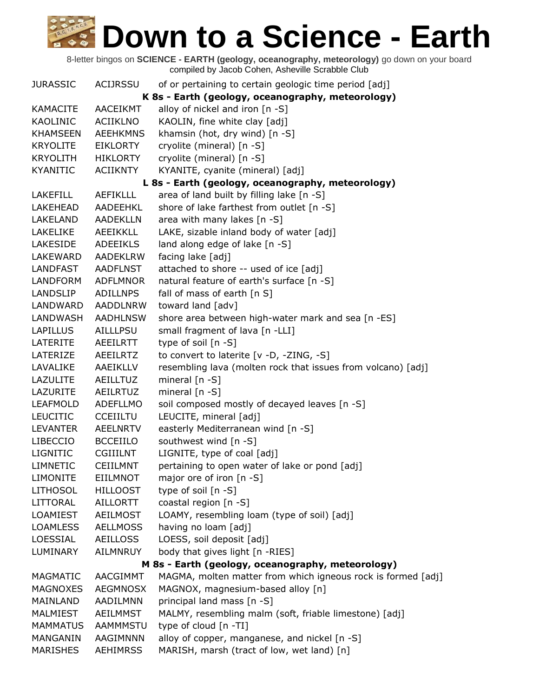| <b>JURASSIC</b> | <b>ACIJRSSU</b> | of or pertaining to certain geologic time period [adj]       |
|-----------------|-----------------|--------------------------------------------------------------|
|                 |                 | K 8s - Earth (geology, oceanography, meteorology)            |
| <b>KAMACITE</b> | <b>AACEIKMT</b> | alloy of nickel and iron [n -S]                              |
| <b>KAOLINIC</b> | <b>ACIIKLNO</b> | KAOLIN, fine white clay [adj]                                |
| <b>KHAMSEEN</b> | <b>AEEHKMNS</b> | khamsin (hot, dry wind) [n -S]                               |
| <b>KRYOLITE</b> | EIKLORTY        | cryolite (mineral) [n -S]                                    |
| KRYOLITH        | HIKLORTY        | cryolite (mineral) [n -S]                                    |
| <b>KYANITIC</b> | <b>ACIIKNTY</b> | KYANITE, cyanite (mineral) [adj]                             |
|                 |                 | L 8s - Earth (geology, oceanography, meteorology)            |
| <b>LAKEFILL</b> | <b>AEFIKLLL</b> | area of land built by filling lake [n -S]                    |
| LAKEHEAD        | AADEEHKL        | shore of lake farthest from outlet [n -S]                    |
| LAKELAND        | AADEKLLN        | area with many lakes [n -S]                                  |
| LAKELIKE        | AEEIKKLL        | LAKE, sizable inland body of water [adj]                     |
| LAKESIDE        | <b>ADEEIKLS</b> | land along edge of lake [n -S]                               |
| LAKEWARD        | <b>AADEKLRW</b> | facing lake [adj]                                            |
| LANDFAST        | AADFLNST        | attached to shore -- used of ice [adj]                       |
| <b>LANDFORM</b> | <b>ADFLMNOR</b> | natural feature of earth's surface [n -S]                    |
| <b>LANDSLIP</b> | ADILLNPS        | fall of mass of earth $[n S]$                                |
| LANDWARD        | <b>AADDLNRW</b> | toward land [adv]                                            |
| LANDWASH        | <b>AADHLNSW</b> | shore area between high-water mark and sea [n -ES]           |
| <b>LAPILLUS</b> | AILLLPSU        | small fragment of lava [n -LLI]                              |
| LATERITE        | <b>AEEILRTT</b> | type of soil [n -S]                                          |
| LATERIZE        | AEEILRTZ        | to convert to laterite [v -D, -ZING, -S]                     |
| LAVALIKE        | AAEIKLLV        | resembling lava (molten rock that issues from volcano) [adj] |
| LAZULITE        | AEILLTUZ        | mineral [n -S]                                               |
| LAZURITE        | <b>AEILRTUZ</b> | mineral $[n - S]$                                            |
| <b>LEAFMOLD</b> | ADEFLLMO        | soil composed mostly of decayed leaves [n -S]                |
| <b>LEUCITIC</b> | <b>CCEIILTU</b> | LEUCITE, mineral [adj]                                       |
| <b>LEVANTER</b> | <b>AEELNRTV</b> | easterly Mediterranean wind [n -S]                           |
| LIBECCIO        | <b>BCCEIILO</b> | southwest wind [n -S]                                        |
| <b>LIGNITIC</b> | <b>CGIIILNT</b> | LIGNITE, type of coal [adj]                                  |
| <b>LIMNETIC</b> | <b>CEIILMNT</b> | pertaining to open water of lake or pond [adj]               |
| <b>LIMONITE</b> | <b>EIILMNOT</b> | major ore of iron [n -S]                                     |
| <b>LITHOSOL</b> | <b>HILLOOST</b> | type of soil [n -S]                                          |
| LITTORAL        | AILLORTT        | coastal region [n -S]                                        |
| LOAMIEST        | AEILMOST        | LOAMY, resembling loam (type of soil) [adj]                  |
| <b>LOAMLESS</b> | <b>AELLMOSS</b> | having no loam [adj]                                         |
| LOESSIAL        | <b>AEILLOSS</b> | LOESS, soil deposit [adj]                                    |
| LUMINARY        | AILMNRUY        | body that gives light [n -RIES]                              |
|                 |                 | M 8s - Earth (geology, oceanography, meteorology)            |
| <b>MAGMATIC</b> | <b>AACGIMMT</b> | MAGMA, molten matter from which igneous rock is formed [adj] |
| <b>MAGNOXES</b> | <b>AEGMNOSX</b> | MAGNOX, magnesium-based alloy [n]                            |
| MAINLAND        | AADILMNN        | principal land mass [n -S]                                   |
| <b>MALMIEST</b> | AEILMMST        | MALMY, resembling malm (soft, friable limestone) [adj]       |
| <b>MAMMATUS</b> | AAMMMSTU        | type of cloud [n -TI]                                        |
| MANGANIN        | AAGIMNNN        | alloy of copper, manganese, and nickel [n -S]                |
| <b>MARISHES</b> | <b>AEHIMRSS</b> | MARISH, marsh (tract of low, wet land) [n]                   |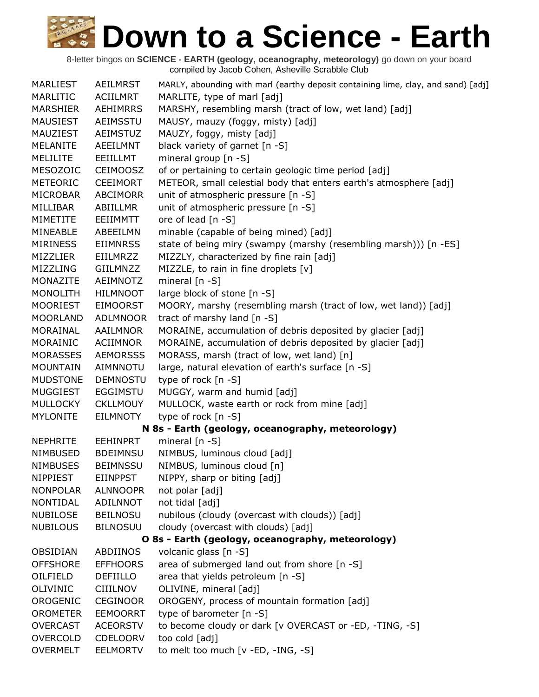| <b>MARLIEST</b> | AEILMRST        | MARLY, abounding with marl (earthy deposit containing lime, clay, and sand) [adj] |
|-----------------|-----------------|-----------------------------------------------------------------------------------|
| MARLITIC        | ACIILMRT        | MARLITE, type of marl [adj]                                                       |
| <b>MARSHIER</b> | <b>AEHIMRRS</b> | MARSHY, resembling marsh (tract of low, wet land) [adj]                           |
| <b>MAUSIEST</b> | AEIMSSTU        | MAUSY, mauzy (foggy, misty) [adj]                                                 |
| MAUZIEST        | <b>AEIMSTUZ</b> | MAUZY, foggy, misty [adj]                                                         |
| <b>MELANITE</b> | AEEILMNT        | black variety of garnet [n -S]                                                    |
| <b>MELILITE</b> | EEIILLMT        | mineral group [n -S]                                                              |
| MESOZOIC        | <b>CEIMOOSZ</b> | of or pertaining to certain geologic time period [adj]                            |
| <b>METEORIC</b> | <b>CEEIMORT</b> | METEOR, small celestial body that enters earth's atmosphere [adj]                 |
| MICROBAR        | <b>ABCIMORR</b> | unit of atmospheric pressure [n -S]                                               |
| MILLIBAR        | ABIILLMR        | unit of atmospheric pressure [n -S]                                               |
| MIMETITE        | EEIIMMTT        | ore of lead [n -S]                                                                |
| MINEABLE        | ABEEILMN        | minable (capable of being mined) [adj]                                            |
| <b>MIRINESS</b> | <b>EIIMNRSS</b> | state of being miry (swampy (marshy (resembling marsh))) [n -ES]                  |
| <b>MIZZLIER</b> | <b>EIILMRZZ</b> | MIZZLY, characterized by fine rain [adj]                                          |
| MIZZLING        | GIILMNZZ        | MIZZLE, to rain in fine droplets [v]                                              |
| MONAZITE        | AEIMNOTZ        | mineral $[n - S]$                                                                 |
| <b>MONOLITH</b> | <b>HILMNOOT</b> | large block of stone [n -S]                                                       |
| <b>MOORIEST</b> | <b>EIMOORST</b> | MOORY, marshy (resembling marsh (tract of low, wet land)) [adj]                   |
| <b>MOORLAND</b> | <b>ADLMNOOR</b> | tract of marshy land [n -S]                                                       |
| MORAINAL        | <b>AAILMNOR</b> | MORAINE, accumulation of debris deposited by glacier [adj]                        |
| MORAINIC        | ACIIMNOR        | MORAINE, accumulation of debris deposited by glacier [adj]                        |
| <b>MORASSES</b> | <b>AEMORSSS</b> | MORASS, marsh (tract of low, wet land) [n]                                        |
| <b>MOUNTAIN</b> | AIMNNOTU        | large, natural elevation of earth's surface [n -S]                                |
| <b>MUDSTONE</b> | <b>DEMNOSTU</b> | type of rock [n -S]                                                               |
| <b>MUGGIEST</b> | <b>EGGIMSTU</b> | MUGGY, warm and humid [adj]                                                       |
| MULLOCKY        | <b>CKLLMOUY</b> | MULLOCK, waste earth or rock from mine [adj]                                      |
| <b>MYLONITE</b> | <b>EILMNOTY</b> | type of rock [n -S]                                                               |
|                 |                 | N 8s - Earth (geology, oceanography, meteorology)                                 |
| <b>NEPHRITE</b> | <b>EEHINPRT</b> | mineral $[n - S]$                                                                 |
| <b>NIMBUSED</b> | <b>BDEIMNSU</b> | NIMBUS, luminous cloud [adj]                                                      |
| <b>NIMBUSES</b> | <b>BEIMNSSU</b> | NIMBUS, luminous cloud [n]                                                        |
| <b>NIPPIEST</b> | <b>EIINPPST</b> | NIPPY, sharp or biting [adj]                                                      |
| <b>NONPOLAR</b> | <b>ALNNOOPR</b> | not polar [adj]                                                                   |
| NONTIDAL        | ADILNNOT        | not tidal [adj]                                                                   |
| <b>NUBILOSE</b> | <b>BEILNOSU</b> | nubilous (cloudy (overcast with clouds)) [adj]                                    |
| <b>NUBILOUS</b> | <b>BILNOSUU</b> | cloudy (overcast with clouds) [adj]                                               |
|                 |                 | O 8s - Earth (geology, oceanography, meteorology)                                 |
| OBSIDIAN        | <b>ABDIINOS</b> | volcanic glass [n -S]                                                             |
| <b>OFFSHORE</b> | <b>EFFHOORS</b> | area of submerged land out from shore [n -S]                                      |
| OILFIELD        | <b>DEFIILLO</b> | area that yields petroleum [n -S]                                                 |
| OLIVINIC        | CIIILNOV        | OLIVINE, mineral [adj]                                                            |
| OROGENIC        | <b>CEGINOOR</b> | OROGENY, process of mountain formation [adj]                                      |
| <b>OROMETER</b> | <b>EEMOORRT</b> | type of barometer [n -S]                                                          |
| <b>OVERCAST</b> | <b>ACEORSTV</b> | to become cloudy or dark [v OVERCAST or -ED, -TING, -S]                           |
| <b>OVERCOLD</b> | <b>CDELOORV</b> | too cold [adj]                                                                    |
| <b>OVERMELT</b> | <b>EELMORTV</b> | to melt too much [v -ED, -ING, -S]                                                |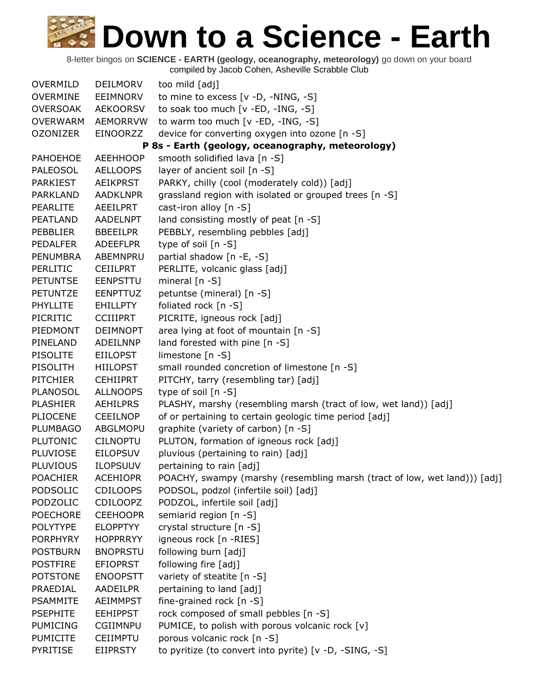8-letter bingos on **SCIENCE - EARTH (geology, oceanography, meteorology)** go down on your board compiled by Jacob Cohen, Asheville Scrabble Club

OVERMILD DEILMORV too mild [adj] OVERMINE EEIMNORV to mine to excess [v -D, -NING, -S] OVERSOAK AEKOORSV to soak too much [v -ED, -ING, -S] OVERWARM AEMORRVW to warm too much [v -ED, -ING, -S] OZONIZER EINOORZZ device for converting oxygen into ozone [n -S] **P 8s - Earth (geology, oceanography, meteorology)** PAHOEHOE AEEHHOOP smooth solidified lava [n -S] PALEOSOL AELLOOPS layer of ancient soil [n -S] PARKIEST AEIKPRST PARKY, chilly (cool (moderately cold)) [adj] PARKLAND AADKLNPR grassland region with isolated or grouped trees [n -S] PEARLITE AEEILPRT cast-iron alloy [n -S] PEATLAND AADELNPT land consisting mostly of peat [n -S] PEBBLIER BBEEILPR PEBBLY, resembling pebbles [adj] PEDALFER ADEEFLPR type of soil [n -S] PENUMBRA ABEMNPRU partial shadow [n -E, -S] PERLITIC CEIILPRT PERLITE, volcanic glass [adj] PETUNTSE EENPSTTU mineral [n -S] PETUNTZE EENPTTUZ petuntse (mineral) [n -S] PHYLLITE EHILLPTY foliated rock [n -S] PICRITIC CCIIIPRT PICRITE, igneous rock [adj] PIEDMONT DEIMNOPT area lying at foot of mountain [n -S] PINELAND ADEILNNP land forested with pine [n -S] PISOLITE EIILOPST limestone [n -S] PISOLITH HIILOPST small rounded concretion of limestone [n -S] PITCHIER CEHIIPRT PITCHY, tarry (resembling tar) [adj] PLANOSOL ALLNOOPS type of soil [n -S] PLASHIER AEHILPRS PLASHY, marshy (resembling marsh (tract of low, wet land)) [adj] PLIOCENE CEEILNOP of or pertaining to certain geologic time period [adj] PLUMBAGO ABGLMOPU graphite (variety of carbon) [n -S] PLUTONIC CILNOPTU PLUTON, formation of igneous rock [adj] PLUVIOSE EILOPSUV pluvious (pertaining to rain) [adj] PLUVIOUS ILOPSUUV pertaining to rain [adj] POACHIER ACEHIOPR POACHY, swampy (marshy (resembling marsh (tract of low, wet land))) [adj] PODSOLIC CDILOOPS PODSOL, podzol (infertile soil) [adj] PODZOLIC CDILOOPZ PODZOL, infertile soil [adj] POECHORE CEEHOOPR semiarid region [n -S] POLYTYPE ELOPPTYY crystal structure [n -S] PORPHYRY HOPPRRYY igneous rock [n -RIES] POSTBURN BNOPRSTU following burn [adj] POSTFIRE EFIOPRST following fire [adj] POTSTONE ENOOPSTT variety of steatite [n -S] PRAEDIAL AADEILPR pertaining to land [adj] PSAMMITE AEIMMPST fine-grained rock [n -S] PSEPHITE EEHIPPST rock composed of small pebbles [n -S] PUMICING CGIIMNPU PUMICE, to polish with porous volcanic rock [v] PUMICITE CEIIMPTU porous volcanic rock [n -S] PYRITISE EIIPRSTY to pyritize (to convert into pyrite) [v -D, -SING, -S]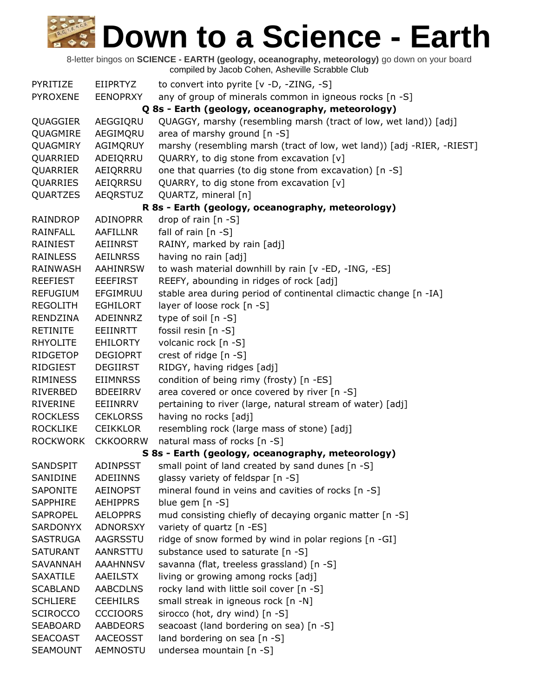8-letter bingos on **SCIENCE - EARTH (geology, oceanography, meteorology)** go down on your board compiled by Jacob Cohen, Asheville Scrabble Club PYRITIZE EIIPRTYZ to convert into pyrite [v -D, -ZING, -S] PYROXENE EENOPRXY any of group of minerals common in igneous rocks [n -S] **Q 8s - Earth (geology, oceanography, meteorology)** QUAGGIER AEGGIQRU QUAGGY, marshy (resembling marsh (tract of low, wet land)) [adj] QUAGMIRE AEGIMQRU area of marshy ground [n -S] QUAGMIRY AGIMQRUY marshy (resembling marsh (tract of low, wet land)) [adj -RIER, -RIEST] QUARRIED ADEIQRRU QUARRY, to dig stone from excavation [v] QUARRIER AEIQRRRU one that quarries (to dig stone from excavation) [n -S] QUARRIES AEIQRRSU QUARRY, to dig stone from excavation [v] QUARTZES AEQRSTUZ QUARTZ, mineral [n] **R 8s - Earth (geology, oceanography, meteorology)** RAINDROP ADINOPRR drop of rain [n -S] RAINFALL AAFILLNR fall of rain [n -S] RAINIEST AEIINRST RAINY, marked by rain [adj] RAINLESS AEILNRSS having no rain [adj] RAINWASH AAHINRSW to wash material downhill by rain [v -ED, -ING, -ES] REEFIEST EEEFIRST REEFY, abounding in ridges of rock [adj] REFUGIUM EFGIMRUU stable area during period of continental climactic change [n -IA] REGOLITH EGHILORT layer of loose rock [n -S] RENDZINA ADEINNRZ type of soil [n -S] RETINITE EEIINRTT fossil resin [n -S] RHYOLITE EHILORTY volcanic rock [n -S] RIDGETOP DEGIOPRT crest of ridge [n -S] RIDGIEST DEGIIRST RIDGY, having ridges [adj] RIMINESS EIIMNRSS condition of being rimy (frosty) [n -ES] RIVERBED BDEEIRRV area covered or once covered by river [n -S] RIVERINE EEIINRRV pertaining to river (large, natural stream of water) [adj] ROCKLESS CEKLORSS having no rocks [adj] ROCKLIKE CEIKKLOR resembling rock (large mass of stone) [adj] ROCKWORK CKKOORRW natural mass of rocks [n -S] **S 8s - Earth (geology, oceanography, meteorology)** SANDSPIT ADINPSST small point of land created by sand dunes [n -S] SANIDINE ADEIINNS glassy variety of feldspar [n -S] SAPONITE AEINOPST mineral found in veins and cavities of rocks [n -S] SAPPHIRE AEHIPPRS blue gem [n -S] SAPROPEL AELOPPRS mud consisting chiefly of decaying organic matter [n -S] SARDONYX ADNORSXY variety of quartz [n -ES] SASTRUGA AAGRSSTU ridge of snow formed by wind in polar regions [n -GI] SATURANT AANRSTTU substance used to saturate [n -S] SAVANNAH AAAHNNSV savanna (flat, treeless grassland) [n -S] SAXATILE AAEILSTX living or growing among rocks [adj] SCABLAND AABCDLNS rocky land with little soil cover [n -S] SCHLIERE CEEHILRS small streak in igneous rock [n -N] SCIROCCO CCCIOORS sirocco (hot, dry wind) [n -S] SEABOARD AABDEORS seacoast (land bordering on sea) [n -S] SEACOAST AACEOSST land bordering on sea [n -S] SEAMOUNT AEMNOSTU undersea mountain [n -S]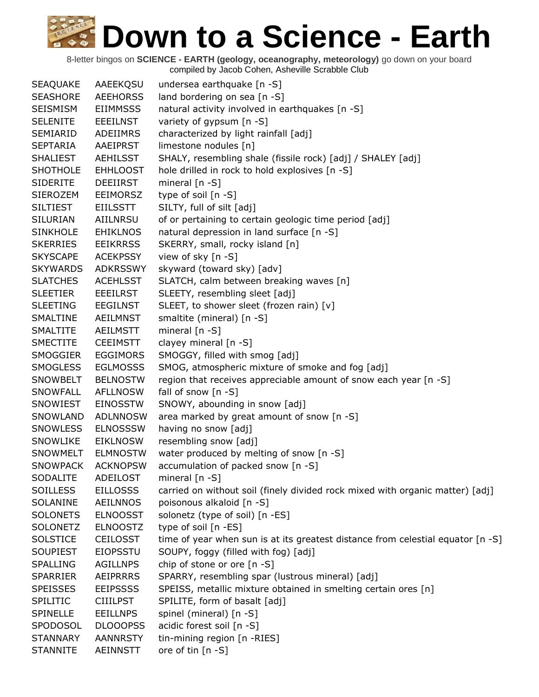| <b>SEAQUAKE</b> | AAEEKQSU        | undersea earthquake [n -S]                                                      |
|-----------------|-----------------|---------------------------------------------------------------------------------|
| <b>SEASHORE</b> | <b>AEEHORSS</b> | land bordering on sea [n -S]                                                    |
| <b>SEISMISM</b> | <b>EIIMMSSS</b> | natural activity involved in earthquakes [n -S]                                 |
| <b>SELENITE</b> | <b>EEEILNST</b> | variety of gypsum [n -S]                                                        |
| SEMIARID        | ADEIIMRS        | characterized by light rainfall [adj]                                           |
| <b>SEPTARIA</b> | AAEIPRST        | limestone nodules [n]                                                           |
| <b>SHALIEST</b> | AEHILSST        | SHALY, resembling shale (fissile rock) [adj] / SHALEY [adj]                     |
| <b>SHOTHOLE</b> | <b>EHHLOOST</b> | hole drilled in rock to hold explosives [n -S]                                  |
| <b>SIDERITE</b> | <b>DEEIIRST</b> | mineral $[n - S]$                                                               |
| <b>SIEROZEM</b> | EEIMORSZ        | type of soil [n -S]                                                             |
| <b>SILTIEST</b> | <b>EIILSSTT</b> | SILTY, full of silt [adj]                                                       |
| <b>SILURIAN</b> | <b>AIILNRSU</b> | of or pertaining to certain geologic time period [adj]                          |
| <b>SINKHOLE</b> | <b>EHIKLNOS</b> | natural depression in land surface [n -S]                                       |
| <b>SKERRIES</b> | <b>EEIKRRSS</b> | SKERRY, small, rocky island [n]                                                 |
| <b>SKYSCAPE</b> | <b>ACEKPSSY</b> | view of sky [n -S]                                                              |
| <b>SKYWARDS</b> | <b>ADKRSSWY</b> | skyward (toward sky) [adv]                                                      |
| <b>SLATCHES</b> | <b>ACEHLSST</b> | SLATCH, calm between breaking waves [n]                                         |
| <b>SLEETIER</b> | <b>EEEILRST</b> | SLEETY, resembling sleet [adj]                                                  |
| <b>SLEETING</b> | <b>EEGILNST</b> | SLEET, to shower sleet (frozen rain) [v]                                        |
| SMALTINE        | <b>AEILMNST</b> | smaltite (mineral) [n -S]                                                       |
| <b>SMALTITE</b> | <b>AEILMSTT</b> | mineral $[n - S]$                                                               |
| <b>SMECTITE</b> | <b>CEEIMSTT</b> | clayey mineral [n -S]                                                           |
| <b>SMOGGIER</b> | <b>EGGIMORS</b> | SMOGGY, filled with smog [adj]                                                  |
| <b>SMOGLESS</b> | <b>EGLMOSSS</b> | SMOG, atmospheric mixture of smoke and fog [adj]                                |
| SNOWBELT        | <b>BELNOSTW</b> | region that receives appreciable amount of snow each year [n -S]                |
| SNOWFALL        | <b>AFLLNOSW</b> | fall of snow $[n - S]$                                                          |
| SNOWIEST        | <b>EINOSSTW</b> | SNOWY, abounding in snow [adj]                                                  |
| SNOWLAND        | <b>ADLNNOSW</b> | area marked by great amount of snow [n -S]                                      |
| <b>SNOWLESS</b> | <b>ELNOSSSW</b> | having no snow [adj]                                                            |
| SNOWLIKE        | <b>EIKLNOSW</b> | resembling snow [adj]                                                           |
| SNOWMELT        | <b>ELMNOSTW</b> | water produced by melting of snow [n -S]                                        |
| <b>SNOWPACK</b> | <b>ACKNOPSW</b> | accumulation of packed snow [n -S]                                              |
| <b>SODALITE</b> | ADEILOST        | mineral $[n - S]$                                                               |
| <b>SOILLESS</b> | <b>EILLOSSS</b> | carried on without soil (finely divided rock mixed with organic matter) [adj]   |
| SOLANINE        | <b>AEILNNOS</b> | poisonous alkaloid [n -S]                                                       |
| <b>SOLONETS</b> | <b>ELNOOSST</b> | solonetz (type of soil) [n -ES]                                                 |
| <b>SOLONETZ</b> | <b>ELNOOSTZ</b> | type of soil [n -ES]                                                            |
| <b>SOLSTICE</b> | <b>CEILOSST</b> | time of year when sun is at its greatest distance from celestial equator [n -S] |
| <b>SOUPIEST</b> | <b>EIOPSSTU</b> | SOUPY, foggy (filled with fog) [adj]                                            |
| <b>SPALLING</b> | <b>AGILLNPS</b> | chip of stone or ore [n -S]                                                     |
| <b>SPARRIER</b> | <b>AEIPRRRS</b> | SPARRY, resembling spar (lustrous mineral) [adj]                                |
| <b>SPEISSES</b> | <b>EEIPSSSS</b> | SPEISS, metallic mixture obtained in smelting certain ores [n]                  |
| <b>SPILITIC</b> | <b>CIIILPST</b> | SPILITE, form of basalt [adj]                                                   |
| <b>SPINELLE</b> | <b>EEILLNPS</b> | spinel (mineral) [n -S]                                                         |
| SPODOSOL        | <b>DLOOOPSS</b> | acidic forest soil [n -S]                                                       |
| <b>STANNARY</b> | <b>AANNRSTY</b> | tin-mining region [n -RIES]                                                     |
| <b>STANNITE</b> | AEINNSTT        | ore of tin [n -S]                                                               |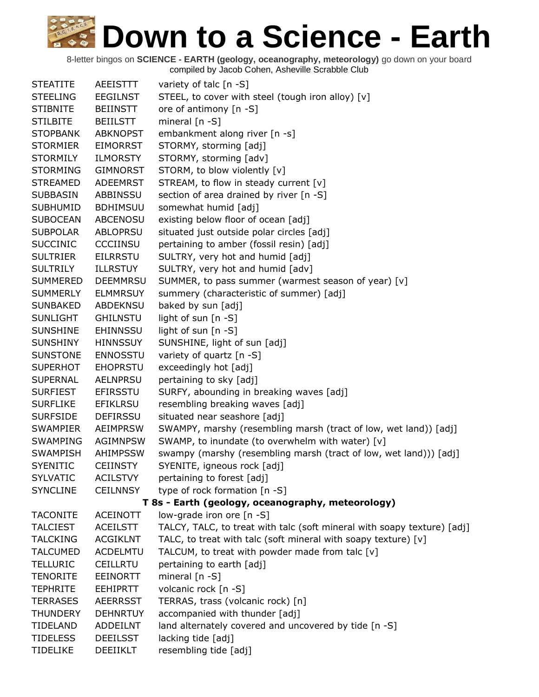| <b>STEATITE</b> | <b>AEEISTTT</b> | variety of talc [n -S]                                                  |
|-----------------|-----------------|-------------------------------------------------------------------------|
| <b>STEELING</b> | <b>EEGILNST</b> | STEEL, to cover with steel (tough iron alloy) [v]                       |
| <b>STIBNITE</b> | <b>BEIINSTT</b> | ore of antimony [n -S]                                                  |
| <b>STILBITE</b> | <b>BEIILSTT</b> | mineral $[n - S]$                                                       |
| <b>STOPBANK</b> | <b>ABKNOPST</b> | embankment along river [n -s]                                           |
| <b>STORMIER</b> | <b>EIMORRST</b> | STORMY, storming [adj]                                                  |
| <b>STORMILY</b> | <b>ILMORSTY</b> | STORMY, storming [adv]                                                  |
| <b>STORMING</b> | <b>GIMNORST</b> | STORM, to blow violently [v]                                            |
| <b>STREAMED</b> | <b>ADEEMRST</b> | STREAM, to flow in steady current [v]                                   |
| <b>SUBBASIN</b> | ABBINSSU        | section of area drained by river [n -S]                                 |
| <b>SUBHUMID</b> | <b>BDHIMSUU</b> | somewhat humid [adj]                                                    |
| <b>SUBOCEAN</b> | <b>ABCENOSU</b> | existing below floor of ocean [adj]                                     |
| <b>SUBPOLAR</b> | <b>ABLOPRSU</b> | situated just outside polar circles [adj]                               |
| <b>SUCCINIC</b> | <b>CCCIINSU</b> | pertaining to amber (fossil resin) [adj]                                |
| <b>SULTRIER</b> | <b>EILRRSTU</b> | SULTRY, very hot and humid [adj]                                        |
| <b>SULTRILY</b> | <b>ILLRSTUY</b> | SULTRY, very hot and humid [adv]                                        |
| <b>SUMMERED</b> | <b>DEEMMRSU</b> | SUMMER, to pass summer (warmest season of year) [v]                     |
| <b>SUMMERLY</b> | <b>ELMMRSUY</b> | summery (characteristic of summer) [adj]                                |
| <b>SUNBAKED</b> | <b>ABDEKNSU</b> | baked by sun [adj]                                                      |
| <b>SUNLIGHT</b> | <b>GHILNSTU</b> | light of sun [n -S]                                                     |
| <b>SUNSHINE</b> | <b>EHINNSSU</b> | light of sun $[n - S]$                                                  |
| <b>SUNSHINY</b> | <b>HINNSSUY</b> | SUNSHINE, light of sun [adj]                                            |
| <b>SUNSTONE</b> | <b>ENNOSSTU</b> | variety of quartz [n -S]                                                |
| <b>SUPERHOT</b> | <b>EHOPRSTU</b> | exceedingly hot [adj]                                                   |
| <b>SUPERNAL</b> | <b>AELNPRSU</b> | pertaining to sky [adj]                                                 |
| <b>SURFIEST</b> | <b>EFIRSSTU</b> | SURFY, abounding in breaking waves [adj]                                |
| <b>SURFLIKE</b> | <b>EFIKLRSU</b> | resembling breaking waves [adj]                                         |
| <b>SURFSIDE</b> | <b>DEFIRSSU</b> | situated near seashore [adj]                                            |
| <b>SWAMPIER</b> | <b>AEIMPRSW</b> | SWAMPY, marshy (resembling marsh (tract of low, wet land)) [adj]        |
| <b>SWAMPING</b> | <b>AGIMNPSW</b> | SWAMP, to inundate (to overwhelm with water) [v]                        |
| <b>SWAMPISH</b> | <b>AHIMPSSW</b> | swampy (marshy (resembling marsh (tract of low, wet land))) [adj]       |
| <b>SYENITIC</b> | <b>CEIINSTY</b> | SYENITE, igneous rock [adj]                                             |
| <b>SYLVATIC</b> | <b>ACILSTVY</b> | pertaining to forest [adj]                                              |
| <b>SYNCLINE</b> | <b>CEILNNSY</b> | type of rock formation [n -S]                                           |
|                 |                 | T 8s - Earth (geology, oceanography, meteorology)                       |
| <b>TACONITE</b> | <b>ACEINOTT</b> | low-grade iron ore [n -S]                                               |
| <b>TALCIEST</b> | <b>ACEILSTT</b> | TALCY, TALC, to treat with talc (soft mineral with soapy texture) [adj] |
| <b>TALCKING</b> | <b>ACGIKLNT</b> | TALC, to treat with talc (soft mineral with soapy texture) [v]          |
| <b>TALCUMED</b> | <b>ACDELMTU</b> | TALCUM, to treat with powder made from talc [v]                         |
| <b>TELLURIC</b> | <b>CEILLRTU</b> | pertaining to earth [adj]                                               |
| <b>TENORITE</b> | <b>EEINORTT</b> | mineral $[n - S]$                                                       |
| <b>TEPHRITE</b> | <b>EEHIPRTT</b> | volcanic rock [n -S]                                                    |
| <b>TERRASES</b> | <b>AEERRSST</b> | TERRAS, trass (volcanic rock) [n]                                       |
| <b>THUNDERY</b> | <b>DEHNRTUY</b> | accompanied with thunder [adj]                                          |
| TIDELAND        | ADDEILNT        | land alternately covered and uncovered by tide [n -S]                   |
| <b>TIDELESS</b> | <b>DEEILSST</b> | lacking tide [adj]                                                      |
| <b>TIDELIKE</b> | DEEIIKLT        | resembling tide [adj]                                                   |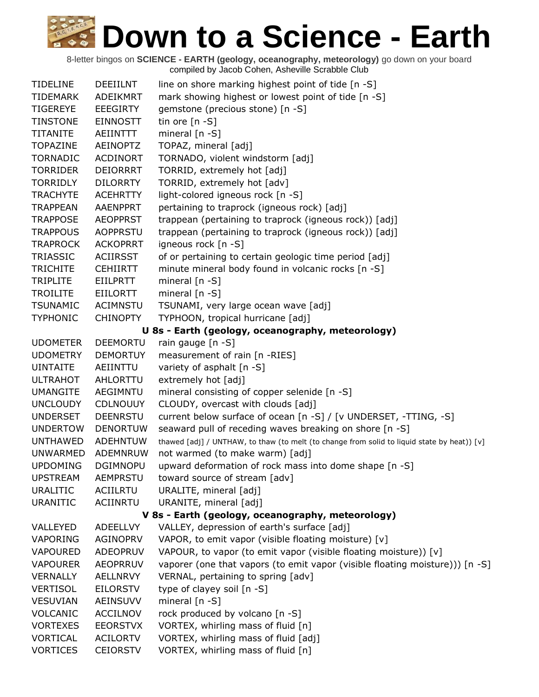| <b>TIDELINE</b> | <b>DEEIILNT</b> | line on shore marking highest point of tide [n -S]                                          |
|-----------------|-----------------|---------------------------------------------------------------------------------------------|
| <b>TIDEMARK</b> | ADEIKMRT        | mark showing highest or lowest point of tide [n -S]                                         |
| <b>TIGEREYE</b> | <b>EEEGIRTY</b> | gemstone (precious stone) [n -S]                                                            |
| <b>TINSTONE</b> | <b>EINNOSTT</b> | tin ore $[n - S]$                                                                           |
| <b>TITANITE</b> | <b>AEIINTTT</b> | mineral [n -S]                                                                              |
| <b>TOPAZINE</b> | <b>AEINOPTZ</b> | TOPAZ, mineral [adj]                                                                        |
| <b>TORNADIC</b> | <b>ACDINORT</b> | TORNADO, violent windstorm [adj]                                                            |
| <b>TORRIDER</b> | <b>DEIORRRT</b> | TORRID, extremely hot [adj]                                                                 |
| <b>TORRIDLY</b> | <b>DILORRTY</b> | TORRID, extremely hot [adv]                                                                 |
| <b>TRACHYTE</b> | <b>ACEHRTTY</b> | light-colored igneous rock [n -S]                                                           |
| <b>TRAPPEAN</b> | AAENPPRT        | pertaining to traprock (igneous rock) [adj]                                                 |
| <b>TRAPPOSE</b> | <b>AEOPPRST</b> | trappean (pertaining to traprock (igneous rock)) [adj]                                      |
| <b>TRAPPOUS</b> | <b>AOPPRSTU</b> | trappean (pertaining to traprock (igneous rock)) [adj]                                      |
| <b>TRAPROCK</b> | <b>ACKOPRRT</b> | igneous rock [n -S]                                                                         |
| <b>TRIASSIC</b> | <b>ACIIRSST</b> | of or pertaining to certain geologic time period [adj]                                      |
| <b>TRICHITE</b> | <b>CEHIIRTT</b> | minute mineral body found in volcanic rocks [n -S]                                          |
| <b>TRIPLITE</b> | <b>EIILPRTT</b> | mineral [n -S]                                                                              |
| <b>TROILITE</b> | <b>EIILORTT</b> | mineral [n -S]                                                                              |
| TSUNAMIC        | ACIMNSTU        | TSUNAMI, very large ocean wave [adj]                                                        |
| <b>TYPHONIC</b> | <b>CHINOPTY</b> | TYPHOON, tropical hurricane [adj]                                                           |
|                 |                 | U 8s - Earth (geology, oceanography, meteorology)                                           |
| <b>UDOMETER</b> | <b>DEEMORTU</b> | rain gauge [n -S]                                                                           |
| <b>UDOMETRY</b> | <b>DEMORTUY</b> | measurement of rain [n -RIES]                                                               |
| <b>UINTAITE</b> | AEIINTTU        | variety of asphalt [n -S]                                                                   |
| <b>ULTRAHOT</b> | AHLORTTU        | extremely hot [adj]                                                                         |
| <b>UMANGITE</b> | AEGIMNTU        | mineral consisting of copper selenide [n -S]                                                |
| <b>UNCLOUDY</b> | <b>CDLNOUUY</b> | CLOUDY, overcast with clouds [adj]                                                          |
| <b>UNDERSET</b> | <b>DEENRSTU</b> | current below surface of ocean [n -S] / [v UNDERSET, -TTING, -S]                            |
| <b>UNDERTOW</b> | <b>DENORTUW</b> | seaward pull of receding waves breaking on shore [n -S]                                     |
| <b>UNTHAWED</b> | <b>ADEHNTUW</b> | thawed [adj] / UNTHAW, to thaw (to melt (to change from solid to liquid state by heat)) [v] |
| <b>UNWARMED</b> | ADEMNRUW        | not warmed (to make warm) [adj]                                                             |
| <b>UPDOMING</b> | <b>DGIMNOPU</b> | upward deformation of rock mass into dome shape [n -S]                                      |
| <b>UPSTREAM</b> | <b>AEMPRSTU</b> | toward source of stream [adv]                                                               |
| <b>URALITIC</b> | <b>ACIILRTU</b> | URALITE, mineral [adj]                                                                      |
| <b>URANITIC</b> | ACIINRTU        | URANITE, mineral [adj]                                                                      |
|                 |                 | V 8s - Earth (geology, oceanography, meteorology)                                           |
| VALLEYED        | <b>ADEELLVY</b> | VALLEY, depression of earth's surface [adj]                                                 |
| VAPORING        | AGINOPRV        | VAPOR, to emit vapor (visible floating moisture) [v]                                        |
| <b>VAPOURED</b> | <b>ADEOPRUV</b> | VAPOUR, to vapor (to emit vapor (visible floating moisture)) [v]                            |
| <b>VAPOURER</b> | <b>AEOPRRUV</b> | vaporer (one that vapors (to emit vapor (visible floating moisture))) [n -S]                |
| <b>VERNALLY</b> | AELLNRVY        | VERNAL, pertaining to spring [adv]                                                          |
| <b>VERTISOL</b> | <b>EILORSTV</b> | type of clayey soil [n -S]                                                                  |
| <b>VESUVIAN</b> | AEINSUVV        | mineral $[n - S]$                                                                           |
| <b>VOLCANIC</b> | <b>ACCILNOV</b> | rock produced by volcano [n -S]                                                             |
| <b>VORTEXES</b> | <b>EEORSTVX</b> | VORTEX, whirling mass of fluid [n]                                                          |
| <b>VORTICAL</b> | <b>ACILORTV</b> | VORTEX, whirling mass of fluid [adj]                                                        |
| <b>VORTICES</b> | <b>CEIORSTV</b> | VORTEX, whirling mass of fluid [n]                                                          |